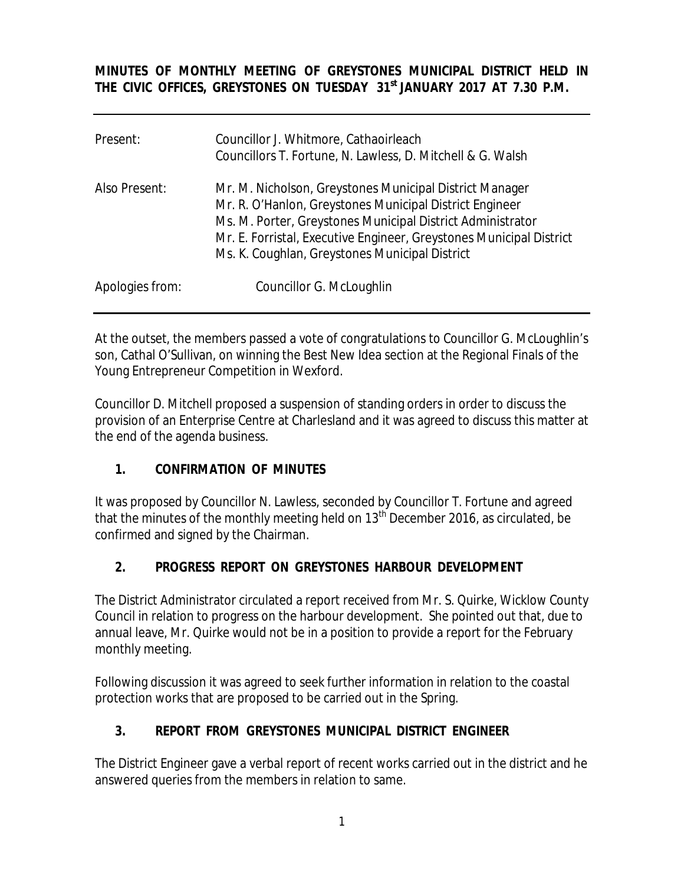**MINUTES OF MONTHLY MEETING OF GREYSTONES MUNICIPAL DISTRICT HELD IN THE CIVIC OFFICES, GREYSTONES ON TUESDAY 31st JANUARY 2017 AT 7.30 P.M.** 

| Present:        | Councillor J. Whitmore, Cathaoirleach<br>Councillors T. Fortune, N. Lawless, D. Mitchell & G. Walsh                                                                                                                                                                                                       |
|-----------------|-----------------------------------------------------------------------------------------------------------------------------------------------------------------------------------------------------------------------------------------------------------------------------------------------------------|
| Also Present:   | Mr. M. Nicholson, Greystones Municipal District Manager<br>Mr. R. O'Hanlon, Greystones Municipal District Engineer<br>Ms. M. Porter, Greystones Municipal District Administrator<br>Mr. E. Forristal, Executive Engineer, Greystones Municipal District<br>Ms. K. Coughlan, Greystones Municipal District |
| Apologies from: | Councillor G. McLoughlin                                                                                                                                                                                                                                                                                  |

At the outset, the members passed a vote of congratulations to Councillor G. McLoughlin's son, Cathal O'Sullivan, on winning the Best New Idea section at the Regional Finals of the Young Entrepreneur Competition in Wexford.

Councillor D. Mitchell proposed a suspension of standing orders in order to discuss the provision of an Enterprise Centre at Charlesland and it was agreed to discuss this matter at the end of the agenda business.

# **1. CONFIRMATION OF MINUTES**

It was proposed by Councillor N. Lawless, seconded by Councillor T. Fortune and agreed that the minutes of the monthly meeting held on  $13<sup>th</sup>$  December 2016, as circulated, be confirmed and signed by the Chairman.

# **2. PROGRESS REPORT ON GREYSTONES HARBOUR DEVELOPMENT**

The District Administrator circulated a report received from Mr. S. Quirke, Wicklow County Council in relation to progress on the harbour development. She pointed out that, due to annual leave, Mr. Quirke would not be in a position to provide a report for the February monthly meeting.

Following discussion it was agreed to seek further information in relation to the coastal protection works that are proposed to be carried out in the Spring.

# **3. REPORT FROM GREYSTONES MUNICIPAL DISTRICT ENGINEER**

The District Engineer gave a verbal report of recent works carried out in the district and he answered queries from the members in relation to same.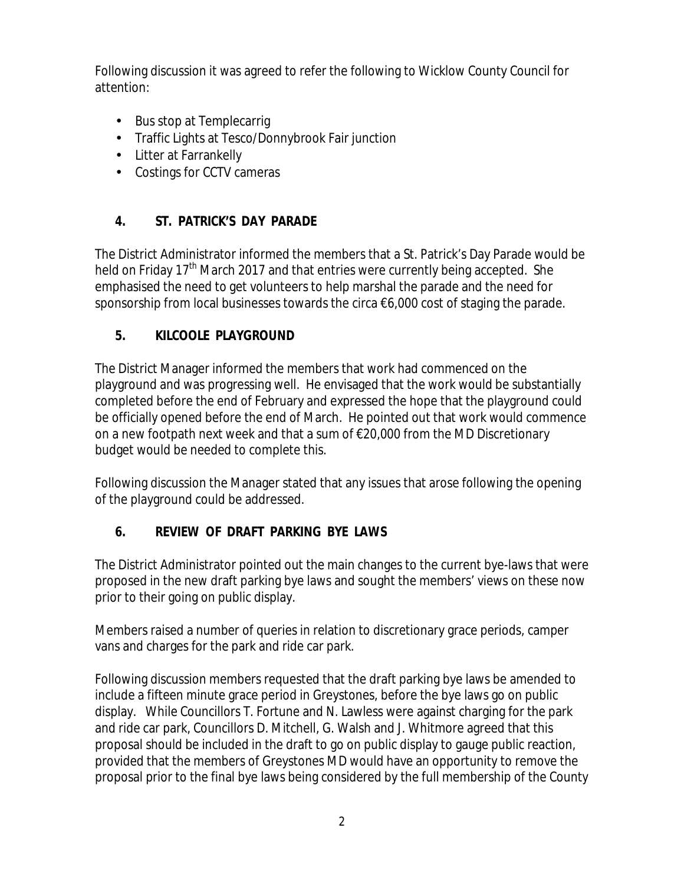Following discussion it was agreed to refer the following to Wicklow County Council for attention:

- Bus stop at Templecarrig
- Traffic Lights at Tesco/Donnybrook Fair junction
- Litter at Farrankelly
- Costings for CCTV cameras

# **4. ST. PATRICK'S DAY PARADE**

The District Administrator informed the members that a St. Patrick's Day Parade would be held on Friday 17<sup>th</sup> March 2017 and that entries were currently being accepted. She emphasised the need to get volunteers to help marshal the parade and the need for sponsorship from local businesses towards the circa €6,000 cost of staging the parade.

#### **5. KILCOOLE PLAYGROUND**

The District Manager informed the members that work had commenced on the playground and was progressing well. He envisaged that the work would be substantially completed before the end of February and expressed the hope that the playground could be officially opened before the end of March. He pointed out that work would commence on a new footpath next week and that a sum of €20,000 from the MD Discretionary budget would be needed to complete this.

Following discussion the Manager stated that any issues that arose following the opening of the playground could be addressed.

# **6. REVIEW OF DRAFT PARKING BYE LAWS**

The District Administrator pointed out the main changes to the current bye-laws that were proposed in the new draft parking bye laws and sought the members' views on these now prior to their going on public display.

Members raised a number of queries in relation to discretionary grace periods, camper vans and charges for the park and ride car park.

Following discussion members requested that the draft parking bye laws be amended to include a fifteen minute grace period in Greystones, before the bye laws go on public display. While Councillors T. Fortune and N. Lawless were against charging for the park and ride car park, Councillors D. Mitchell, G. Walsh and J. Whitmore agreed that this proposal should be included in the draft to go on public display to gauge public reaction, provided that the members of Greystones MD would have an opportunity to remove the proposal prior to the final bye laws being considered by the full membership of the County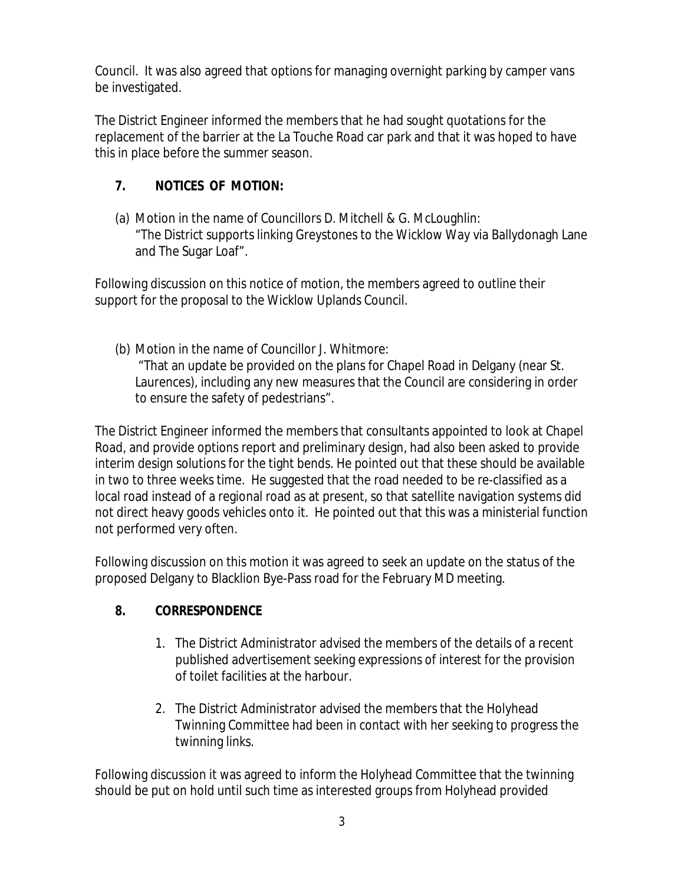Council. It was also agreed that options for managing overnight parking by camper vans be investigated.

The District Engineer informed the members that he had sought quotations for the replacement of the barrier at the La Touche Road car park and that it was hoped to have this in place before the summer season.

# **7. NOTICES OF MOTION:**

(a) Motion in the name of Councillors D. Mitchell & G. McLoughlin: "The District supports linking Greystones to the Wicklow Way via Ballydonagh Lane and The Sugar Loaf".

Following discussion on this notice of motion, the members agreed to outline their support for the proposal to the Wicklow Uplands Council.

(b) Motion in the name of Councillor J. Whitmore: "That an update be provided on the plans for Chapel Road in Delgany (near St. Laurences), including any new measures that the Council are considering in order to ensure the safety of pedestrians".

The District Engineer informed the members that consultants appointed to look at Chapel Road, and provide options report and preliminary design, had also been asked to provide interim design solutions for the tight bends. He pointed out that these should be available in two to three weeks time. He suggested that the road needed to be re-classified as a local road instead of a regional road as at present, so that satellite navigation systems did not direct heavy goods vehicles onto it. He pointed out that this was a ministerial function not performed very often.

Following discussion on this motion it was agreed to seek an update on the status of the proposed Delgany to Blacklion Bye-Pass road for the February MD meeting.

#### **8. CORRESPONDENCE**

- 1. The District Administrator advised the members of the details of a recent published advertisement seeking expressions of interest for the provision of toilet facilities at the harbour.
- 2. The District Administrator advised the members that the Holyhead Twinning Committee had been in contact with her seeking to progress the twinning links.

Following discussion it was agreed to inform the Holyhead Committee that the twinning should be put on hold until such time as interested groups from Holyhead provided